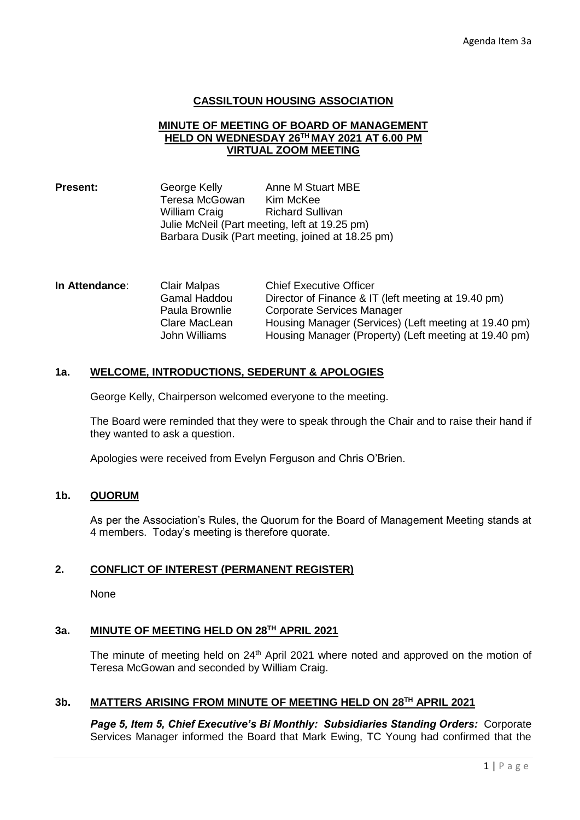### **CASSILTOUN HOUSING ASSOCIATION**

#### **MINUTE OF MEETING OF BOARD OF MANAGEMENT HELD ON WEDNESDAY 26TH MAY 2021 AT 6.00 PM VIRTUAL ZOOM MEETING**

**Present:** George Kelly Anne M Stuart MBE Teresa McGowan Kim McKee William Craig Bichard Sullivan Julie McNeil (Part meeting, left at 19.25 pm) Barbara Dusik (Part meeting, joined at 18.25 pm)

| In Attendance: | <b>Clair Malpas</b> | <b>Chief Executive Officer</b>                        |
|----------------|---------------------|-------------------------------------------------------|
|                | Gamal Haddou        | Director of Finance & IT (left meeting at 19.40 pm)   |
|                | Paula Brownlie      | Corporate Services Manager                            |
|                | Clare MacLean       | Housing Manager (Services) (Left meeting at 19.40 pm) |
|                | John Williams       | Housing Manager (Property) (Left meeting at 19.40 pm) |

### **1a. WELCOME, INTRODUCTIONS, SEDERUNT & APOLOGIES**

George Kelly, Chairperson welcomed everyone to the meeting.

The Board were reminded that they were to speak through the Chair and to raise their hand if they wanted to ask a question.

Apologies were received from Evelyn Ferguson and Chris O'Brien.

# **1b. QUORUM**

As per the Association's Rules, the Quorum for the Board of Management Meeting stands at 4 members. Today's meeting is therefore quorate.

## **2. CONFLICT OF INTEREST (PERMANENT REGISTER)**

None

## **3a. MINUTE OF MEETING HELD ON 28TH APRIL 2021**

The minute of meeting held on  $24<sup>th</sup>$  April 2021 where noted and approved on the motion of Teresa McGowan and seconded by William Craig.

#### **3b. MATTERS ARISING FROM MINUTE OF MEETING HELD ON 28TH APRIL 2021**

*Page 5, Item 5, Chief Executive's Bi Monthly: Subsidiaries Standing Orders:* Corporate Services Manager informed the Board that Mark Ewing, TC Young had confirmed that the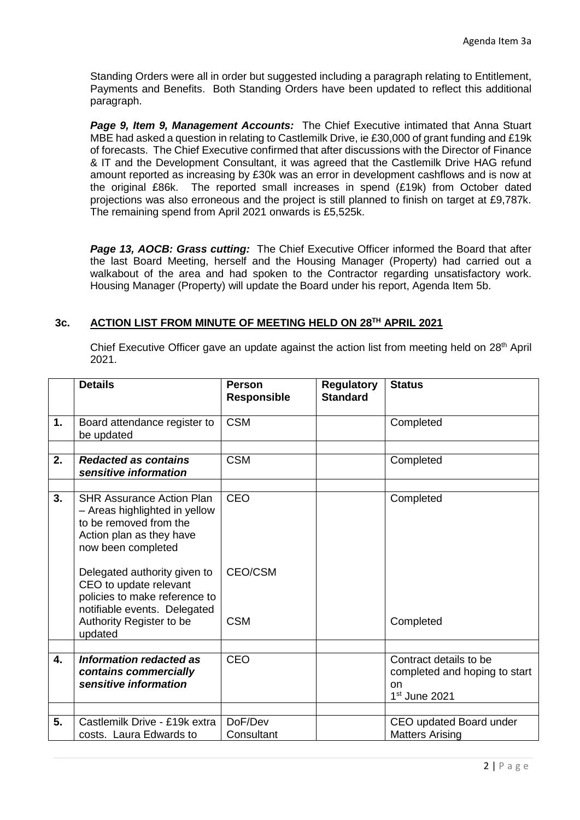Standing Orders were all in order but suggested including a paragraph relating to Entitlement, Payments and Benefits. Both Standing Orders have been updated to reflect this additional paragraph.

*Page 9, Item 9, Management Accounts:* The Chief Executive intimated that Anna Stuart MBE had asked a question in relating to Castlemilk Drive, ie £30,000 of grant funding and £19k of forecasts. The Chief Executive confirmed that after discussions with the Director of Finance & IT and the Development Consultant, it was agreed that the Castlemilk Drive HAG refund amount reported as increasing by £30k was an error in development cashflows and is now at the original £86k. The reported small increases in spend (£19k) from October dated projections was also erroneous and the project is still planned to finish on target at £9,787k. The remaining spend from April 2021 onwards is £5,525k.

*Page 13, AOCB: Grass cutting:* The Chief Executive Officer informed the Board that after the last Board Meeting, herself and the Housing Manager (Property) had carried out a walkabout of the area and had spoken to the Contractor regarding unsatisfactory work. Housing Manager (Property) will update the Board under his report, Agenda Item 5b.

# **3c. ACTION LIST FROM MINUTE OF MEETING HELD ON 28TH APRIL 2021**

Chief Executive Officer gave an update against the action list from meeting held on 28<sup>th</sup> April 2021.

|    | <b>Details</b>                                                                                                                                                                                                                                                                                       | <b>Person</b><br><b>Responsible</b> | <b>Regulatory</b><br><b>Standard</b> | <b>Status</b>                                                                    |
|----|------------------------------------------------------------------------------------------------------------------------------------------------------------------------------------------------------------------------------------------------------------------------------------------------------|-------------------------------------|--------------------------------------|----------------------------------------------------------------------------------|
| 1. | Board attendance register to<br>be updated                                                                                                                                                                                                                                                           | <b>CSM</b>                          |                                      | Completed                                                                        |
|    |                                                                                                                                                                                                                                                                                                      |                                     |                                      |                                                                                  |
| 2. | <b>Redacted as contains</b><br>sensitive information                                                                                                                                                                                                                                                 | <b>CSM</b>                          |                                      | Completed                                                                        |
|    |                                                                                                                                                                                                                                                                                                      |                                     |                                      |                                                                                  |
| 3. | <b>SHR Assurance Action Plan</b><br>- Areas highlighted in yellow<br>to be removed from the<br>Action plan as they have<br>now been completed<br>Delegated authority given to<br>CEO to update relevant<br>policies to make reference to<br>notifiable events. Delegated<br>Authority Register to be | <b>CEO</b><br>CEO/CSM<br><b>CSM</b> |                                      | Completed<br>Completed                                                           |
|    | updated                                                                                                                                                                                                                                                                                              |                                     |                                      |                                                                                  |
| 4. | <b>Information redacted as</b><br>contains commercially<br>sensitive information                                                                                                                                                                                                                     | <b>CEO</b>                          |                                      | Contract details to be<br>completed and hoping to start<br>on<br>$1st$ June 2021 |
|    |                                                                                                                                                                                                                                                                                                      |                                     |                                      |                                                                                  |
| 5. | Castlemilk Drive - £19k extra<br>costs. Laura Edwards to                                                                                                                                                                                                                                             | DoF/Dev<br>Consultant               |                                      | CEO updated Board under<br><b>Matters Arising</b>                                |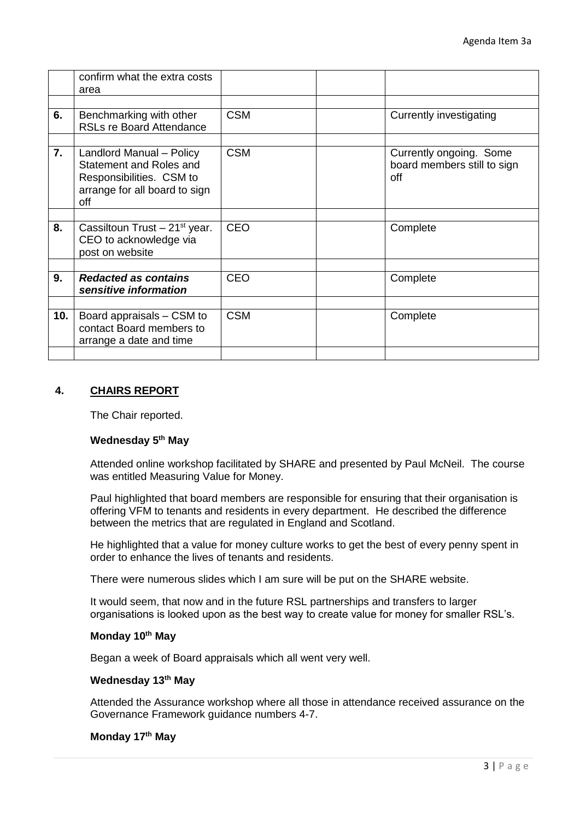|     | confirm what the extra costs                                                                                            |            |                                                               |
|-----|-------------------------------------------------------------------------------------------------------------------------|------------|---------------------------------------------------------------|
|     | area                                                                                                                    |            |                                                               |
|     |                                                                                                                         |            |                                                               |
| 6.  | Benchmarking with other<br><b>RSLs re Board Attendance</b>                                                              | <b>CSM</b> | <b>Currently investigating</b>                                |
|     |                                                                                                                         |            |                                                               |
| 7.  | Landlord Manual - Policy<br>Statement and Roles and<br>Responsibilities. CSM to<br>arrange for all board to sign<br>off | <b>CSM</b> | Currently ongoing. Some<br>board members still to sign<br>off |
|     |                                                                                                                         |            |                                                               |
| 8.  | Cassiltoun Trust $-21^{st}$ year.<br>CEO to acknowledge via<br>post on website                                          | <b>CEO</b> | Complete                                                      |
|     |                                                                                                                         |            |                                                               |
| 9.  | <b>Redacted as contains</b><br>sensitive information                                                                    | <b>CEO</b> | Complete                                                      |
|     |                                                                                                                         |            |                                                               |
| 10. | Board appraisals – CSM to<br>contact Board members to<br>arrange a date and time                                        | <b>CSM</b> | Complete                                                      |
|     |                                                                                                                         |            |                                                               |

# **4. CHAIRS REPORT**

The Chair reported.

#### **Wednesday 5th May**

Attended online workshop facilitated by SHARE and presented by Paul McNeil. The course was entitled Measuring Value for Money.

Paul highlighted that board members are responsible for ensuring that their organisation is offering VFM to tenants and residents in every department. He described the difference between the metrics that are regulated in England and Scotland.

He highlighted that a value for money culture works to get the best of every penny spent in order to enhance the lives of tenants and residents.

There were numerous slides which I am sure will be put on the SHARE website.

It would seem, that now and in the future RSL partnerships and transfers to larger organisations is looked upon as the best way to create value for money for smaller RSL's.

### **Monday 10th May**

Began a week of Board appraisals which all went very well.

# **Wednesday 13th May**

Attended the Assurance workshop where all those in attendance received assurance on the Governance Framework guidance numbers 4-7.

# **Monday 17th May**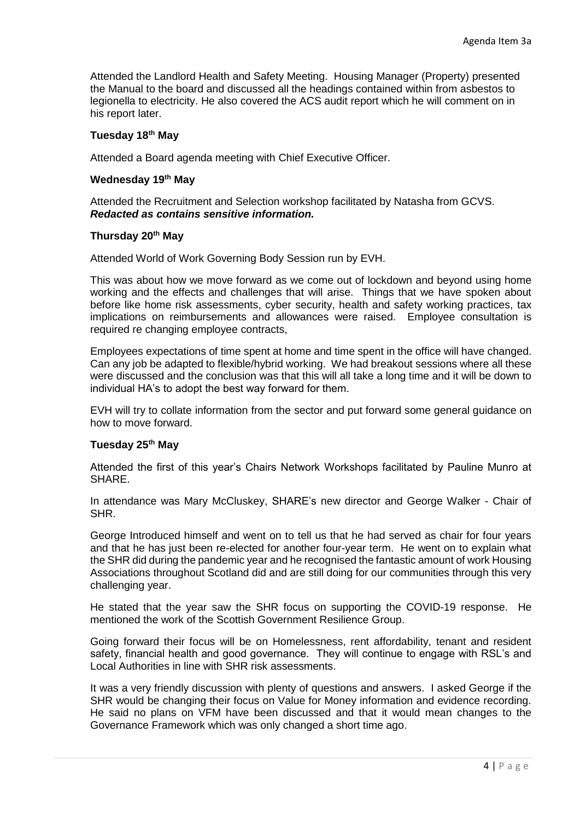Attended the Landlord Health and Safety Meeting. Housing Manager (Property) presented the Manual to the board and discussed all the headings contained within from asbestos to legionella to electricity. He also covered the ACS audit report which he will comment on in his report later.

# **Tuesday 18th May**

Attended a Board agenda meeting with Chief Executive Officer.

### **Wednesday 19th May**

Attended the Recruitment and Selection workshop facilitated by Natasha from GCVS. *Redacted as contains sensitive information.*

#### **Thursday 20th May**

Attended World of Work Governing Body Session run by EVH.

This was about how we move forward as we come out of lockdown and beyond using home working and the effects and challenges that will arise. Things that we have spoken about before like home risk assessments, cyber security, health and safety working practices, tax implications on reimbursements and allowances were raised. Employee consultation is required re changing employee contracts,

Employees expectations of time spent at home and time spent in the office will have changed. Can any job be adapted to flexible/hybrid working. We had breakout sessions where all these were discussed and the conclusion was that this will all take a long time and it will be down to individual HA's to adopt the best way forward for them.

EVH will try to collate information from the sector and put forward some general guidance on how to move forward.

# **Tuesday 25th May**

Attended the first of this year's Chairs Network Workshops facilitated by Pauline Munro at SHARE.

In attendance was Mary McCluskey, SHARE's new director and George Walker - Chair of SHR.

George Introduced himself and went on to tell us that he had served as chair for four years and that he has just been re-elected for another four-year term. He went on to explain what the SHR did during the pandemic year and he recognised the fantastic amount of work Housing Associations throughout Scotland did and are still doing for our communities through this very challenging year.

He stated that the year saw the SHR focus on supporting the COVID-19 response. He mentioned the work of the Scottish Government Resilience Group.

Going forward their focus will be on Homelessness, rent affordability, tenant and resident safety, financial health and good governance. They will continue to engage with RSL's and Local Authorities in line with SHR risk assessments.

It was a very friendly discussion with plenty of questions and answers. I asked George if the SHR would be changing their focus on Value for Money information and evidence recording. He said no plans on VFM have been discussed and that it would mean changes to the Governance Framework which was only changed a short time ago.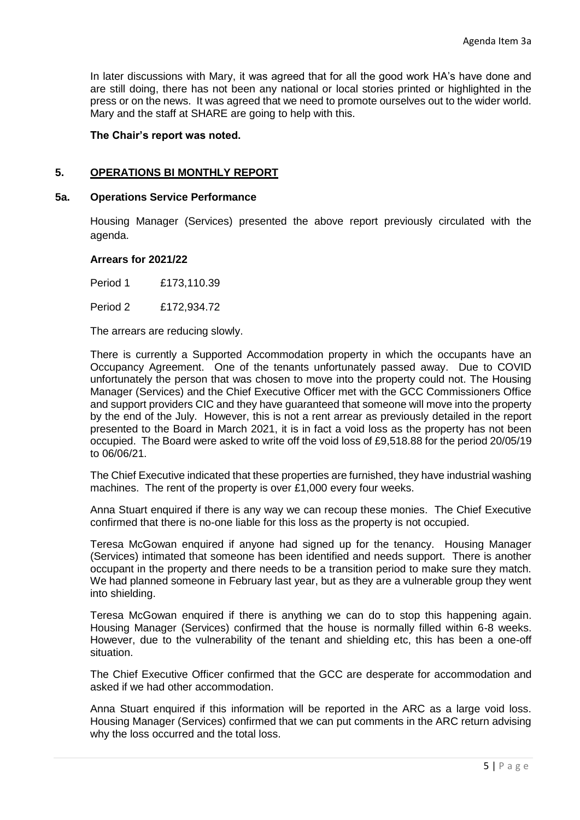In later discussions with Mary, it was agreed that for all the good work HA's have done and are still doing, there has not been any national or local stories printed or highlighted in the press or on the news. It was agreed that we need to promote ourselves out to the wider world. Mary and the staff at SHARE are going to help with this.

### **The Chair's report was noted.**

## **5. OPERATIONS BI MONTHLY REPORT**

#### **5a. Operations Service Performance**

Housing Manager (Services) presented the above report previously circulated with the agenda.

#### **Arrears for 2021/22**

Period 1 £173,110.39

Period 2 £172,934.72

The arrears are reducing slowly.

There is currently a Supported Accommodation property in which the occupants have an Occupancy Agreement. One of the tenants unfortunately passed away. Due to COVID unfortunately the person that was chosen to move into the property could not. The Housing Manager (Services) and the Chief Executive Officer met with the GCC Commissioners Office and support providers CIC and they have guaranteed that someone will move into the property by the end of the July. However, this is not a rent arrear as previously detailed in the report presented to the Board in March 2021, it is in fact a void loss as the property has not been occupied. The Board were asked to write off the void loss of £9,518.88 for the period 20/05/19 to 06/06/21.

The Chief Executive indicated that these properties are furnished, they have industrial washing machines. The rent of the property is over £1,000 every four weeks.

Anna Stuart enquired if there is any way we can recoup these monies. The Chief Executive confirmed that there is no-one liable for this loss as the property is not occupied.

Teresa McGowan enquired if anyone had signed up for the tenancy. Housing Manager (Services) intimated that someone has been identified and needs support. There is another occupant in the property and there needs to be a transition period to make sure they match. We had planned someone in February last year, but as they are a vulnerable group they went into shielding.

Teresa McGowan enquired if there is anything we can do to stop this happening again. Housing Manager (Services) confirmed that the house is normally filled within 6-8 weeks. However, due to the vulnerability of the tenant and shielding etc, this has been a one-off situation.

The Chief Executive Officer confirmed that the GCC are desperate for accommodation and asked if we had other accommodation.

Anna Stuart enquired if this information will be reported in the ARC as a large void loss. Housing Manager (Services) confirmed that we can put comments in the ARC return advising why the loss occurred and the total loss.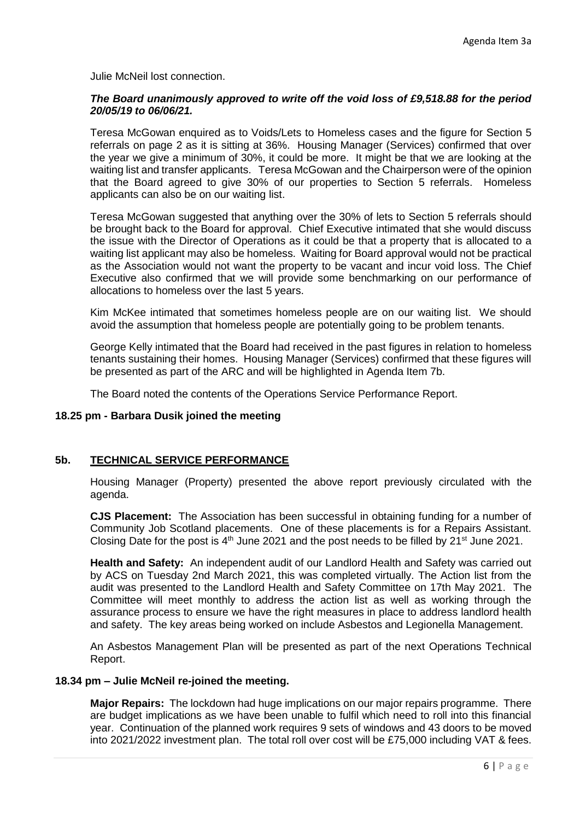Julie McNeil lost connection.

### *The Board unanimously approved to write off the void loss of £9,518.88 for the period 20/05/19 to 06/06/21.*

Teresa McGowan enquired as to Voids/Lets to Homeless cases and the figure for Section 5 referrals on page 2 as it is sitting at 36%. Housing Manager (Services) confirmed that over the year we give a minimum of 30%, it could be more. It might be that we are looking at the waiting list and transfer applicants. Teresa McGowan and the Chairperson were of the opinion that the Board agreed to give 30% of our properties to Section 5 referrals. Homeless applicants can also be on our waiting list.

Teresa McGowan suggested that anything over the 30% of lets to Section 5 referrals should be brought back to the Board for approval. Chief Executive intimated that she would discuss the issue with the Director of Operations as it could be that a property that is allocated to a waiting list applicant may also be homeless. Waiting for Board approval would not be practical as the Association would not want the property to be vacant and incur void loss. The Chief Executive also confirmed that we will provide some benchmarking on our performance of allocations to homeless over the last 5 years.

Kim McKee intimated that sometimes homeless people are on our waiting list. We should avoid the assumption that homeless people are potentially going to be problem tenants.

George Kelly intimated that the Board had received in the past figures in relation to homeless tenants sustaining their homes. Housing Manager (Services) confirmed that these figures will be presented as part of the ARC and will be highlighted in Agenda Item 7b.

The Board noted the contents of the Operations Service Performance Report.

# **18.25 pm - Barbara Dusik joined the meeting**

## **5b. TECHNICAL SERVICE PERFORMANCE**

Housing Manager (Property) presented the above report previously circulated with the agenda.

**CJS Placement:** The Association has been successful in obtaining funding for a number of Community Job Scotland placements. One of these placements is for a Repairs Assistant. Closing Date for the post is  $4<sup>th</sup>$  June 2021 and the post needs to be filled by 21<sup>st</sup> June 2021.

**Health and Safety:** An independent audit of our Landlord Health and Safety was carried out by ACS on Tuesday 2nd March 2021, this was completed virtually. The Action list from the audit was presented to the Landlord Health and Safety Committee on 17th May 2021. The Committee will meet monthly to address the action list as well as working through the assurance process to ensure we have the right measures in place to address landlord health and safety. The key areas being worked on include Asbestos and Legionella Management.

An Asbestos Management Plan will be presented as part of the next Operations Technical Report.

#### **18.34 pm – Julie McNeil re-joined the meeting.**

**Major Repairs:** The lockdown had huge implications on our major repairs programme. There are budget implications as we have been unable to fulfil which need to roll into this financial year. Continuation of the planned work requires 9 sets of windows and 43 doors to be moved into 2021/2022 investment plan. The total roll over cost will be £75,000 including VAT & fees.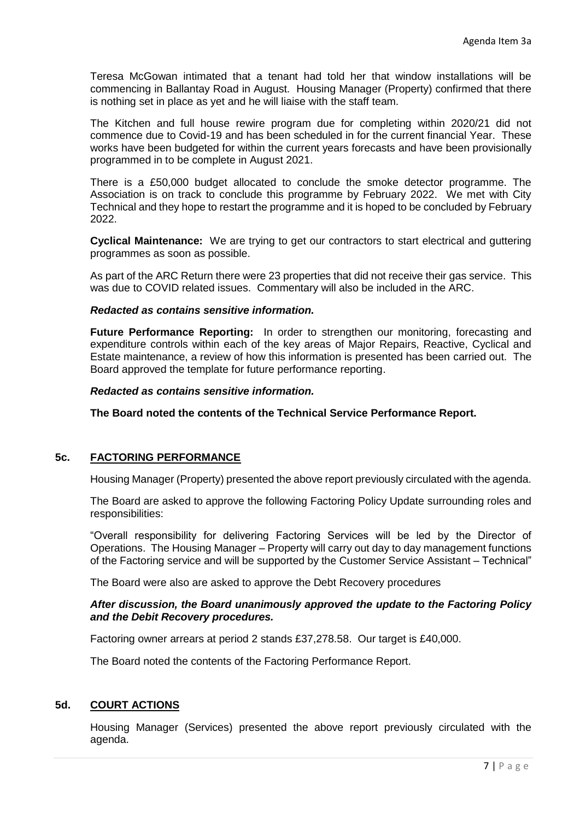Teresa McGowan intimated that a tenant had told her that window installations will be commencing in Ballantay Road in August. Housing Manager (Property) confirmed that there is nothing set in place as yet and he will liaise with the staff team.

The Kitchen and full house rewire program due for completing within 2020/21 did not commence due to Covid-19 and has been scheduled in for the current financial Year. These works have been budgeted for within the current years forecasts and have been provisionally programmed in to be complete in August 2021.

There is a £50,000 budget allocated to conclude the smoke detector programme. The Association is on track to conclude this programme by February 2022. We met with City Technical and they hope to restart the programme and it is hoped to be concluded by February 2022.

**Cyclical Maintenance:** We are trying to get our contractors to start electrical and guttering programmes as soon as possible.

As part of the ARC Return there were 23 properties that did not receive their gas service. This was due to COVID related issues. Commentary will also be included in the ARC.

### *Redacted as contains sensitive information.*

**Future Performance Reporting:** In order to strengthen our monitoring, forecasting and expenditure controls within each of the key areas of Major Repairs, Reactive, Cyclical and Estate maintenance, a review of how this information is presented has been carried out. The Board approved the template for future performance reporting.

#### *Redacted as contains sensitive information.*

**The Board noted the contents of the Technical Service Performance Report.**

## **5c. FACTORING PERFORMANCE**

Housing Manager (Property) presented the above report previously circulated with the agenda.

The Board are asked to approve the following Factoring Policy Update surrounding roles and responsibilities:

"Overall responsibility for delivering Factoring Services will be led by the Director of Operations. The Housing Manager – Property will carry out day to day management functions of the Factoring service and will be supported by the Customer Service Assistant – Technical"

The Board were also are asked to approve the Debt Recovery procedures

### *After discussion, the Board unanimously approved the update to the Factoring Policy and the Debit Recovery procedures.*

Factoring owner arrears at period 2 stands £37,278.58. Our target is £40,000.

The Board noted the contents of the Factoring Performance Report.

## **5d. COURT ACTIONS**

Housing Manager (Services) presented the above report previously circulated with the agenda.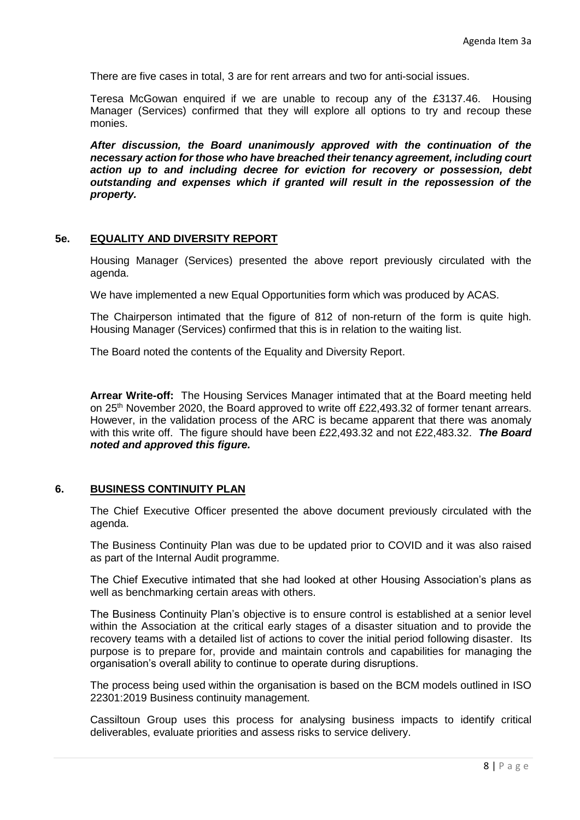There are five cases in total, 3 are for rent arrears and two for anti-social issues.

Teresa McGowan enquired if we are unable to recoup any of the £3137.46. Housing Manager (Services) confirmed that they will explore all options to try and recoup these monies.

*After discussion, the Board unanimously approved with the continuation of the necessary action for those who have breached their tenancy agreement, including court action up to and including decree for eviction for recovery or possession, debt outstanding and expenses which if granted will result in the repossession of the property.*

#### **5e. EQUALITY AND DIVERSITY REPORT**

Housing Manager (Services) presented the above report previously circulated with the agenda.

We have implemented a new Equal Opportunities form which was produced by ACAS.

The Chairperson intimated that the figure of 812 of non-return of the form is quite high. Housing Manager (Services) confirmed that this is in relation to the waiting list.

The Board noted the contents of the Equality and Diversity Report.

**Arrear Write-off:** The Housing Services Manager intimated that at the Board meeting held on 25<sup>th</sup> November 2020, the Board approved to write off £22,493.32 of former tenant arrears. However, in the validation process of the ARC is became apparent that there was anomaly with this write off. The figure should have been £22,493.32 and not £22,483.32. *The Board noted and approved this figure.*

#### **6. BUSINESS CONTINUITY PLAN**

The Chief Executive Officer presented the above document previously circulated with the agenda.

The Business Continuity Plan was due to be updated prior to COVID and it was also raised as part of the Internal Audit programme.

The Chief Executive intimated that she had looked at other Housing Association's plans as well as benchmarking certain areas with others.

The Business Continuity Plan's objective is to ensure control is established at a senior level within the Association at the critical early stages of a disaster situation and to provide the recovery teams with a detailed list of actions to cover the initial period following disaster. Its purpose is to prepare for, provide and maintain controls and capabilities for managing the organisation's overall ability to continue to operate during disruptions.

The process being used within the organisation is based on the BCM models outlined in ISO 22301:2019 Business continuity management.

Cassiltoun Group uses this process for analysing business impacts to identify critical deliverables, evaluate priorities and assess risks to service delivery.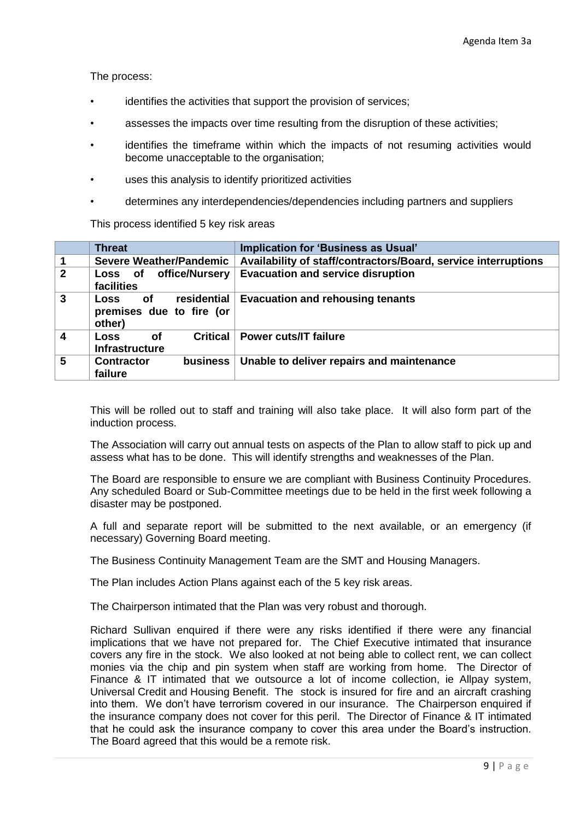The process:

- identifies the activities that support the provision of services;
- assesses the impacts over time resulting from the disruption of these activities;
- identifies the timeframe within which the impacts of not resuming activities would become unacceptable to the organisation;
- uses this analysis to identify prioritized activities
- determines any interdependencies/dependencies including partners and suppliers

This process identified 5 key risk areas

|                         | <b>Threat</b>                                                          | Implication for 'Business as Usual'                            |
|-------------------------|------------------------------------------------------------------------|----------------------------------------------------------------|
| $\overline{\mathbf{1}}$ | <b>Severe Weather/Pandemic</b>                                         | Availability of staff/contractors/Board, service interruptions |
| $\overline{2}$          | office/Nursery<br>Loss of<br>facilities                                | <b>Evacuation and service disruption</b>                       |
| $\overline{3}$          | residential<br>of<br><b>Loss</b><br>premises due to fire (or<br>other) | <b>Evacuation and rehousing tenants</b>                        |
| $\overline{\mathbf{4}}$ | <b>Critical</b><br>0f<br>Loss<br><b>Infrastructure</b>                 | Power cuts/IT failure                                          |
| $5\phantom{.0}$         | <b>Contractor</b><br><b>business</b><br>failure                        | Unable to deliver repairs and maintenance                      |

This will be rolled out to staff and training will also take place. It will also form part of the induction process.

The Association will carry out annual tests on aspects of the Plan to allow staff to pick up and assess what has to be done. This will identify strengths and weaknesses of the Plan.

The Board are responsible to ensure we are compliant with Business Continuity Procedures. Any scheduled Board or Sub-Committee meetings due to be held in the first week following a disaster may be postponed.

A full and separate report will be submitted to the next available, or an emergency (if necessary) Governing Board meeting.

The Business Continuity Management Team are the SMT and Housing Managers.

The Plan includes Action Plans against each of the 5 key risk areas.

The Chairperson intimated that the Plan was very robust and thorough.

Richard Sullivan enquired if there were any risks identified if there were any financial implications that we have not prepared for. The Chief Executive intimated that insurance covers any fire in the stock. We also looked at not being able to collect rent, we can collect monies via the chip and pin system when staff are working from home. The Director of Finance & IT intimated that we outsource a lot of income collection, ie Allpay system, Universal Credit and Housing Benefit. The stock is insured for fire and an aircraft crashing into them. We don't have terrorism covered in our insurance. The Chairperson enquired if the insurance company does not cover for this peril. The Director of Finance & IT intimated that he could ask the insurance company to cover this area under the Board's instruction. The Board agreed that this would be a remote risk.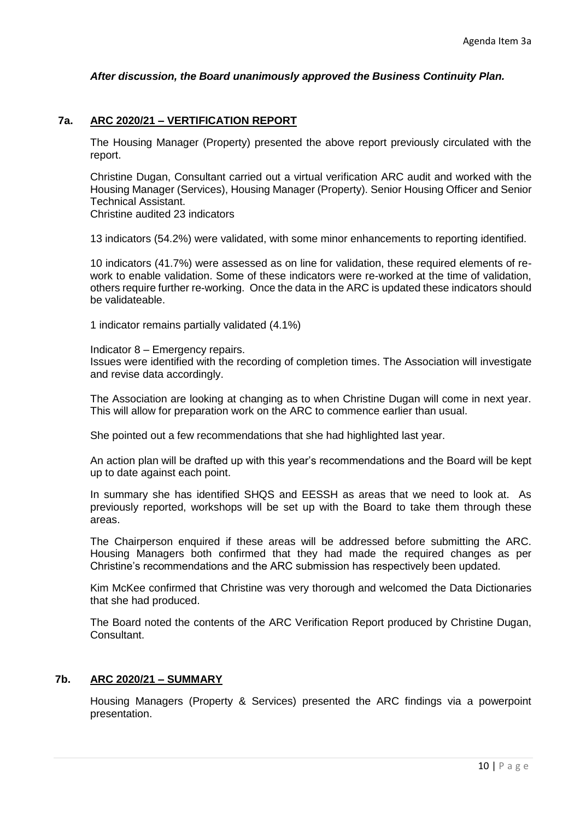### *After discussion, the Board unanimously approved the Business Continuity Plan.*

### **7a. ARC 2020/21 – VERTIFICATION REPORT**

The Housing Manager (Property) presented the above report previously circulated with the report.

Christine Dugan, Consultant carried out a virtual verification ARC audit and worked with the Housing Manager (Services), Housing Manager (Property). Senior Housing Officer and Senior Technical Assistant.

Christine audited 23 indicators

13 indicators (54.2%) were validated, with some minor enhancements to reporting identified.

10 indicators (41.7%) were assessed as on line for validation, these required elements of rework to enable validation. Some of these indicators were re-worked at the time of validation, others require further re-working. Once the data in the ARC is updated these indicators should be validateable.

1 indicator remains partially validated (4.1%)

Indicator 8 – Emergency repairs. Issues were identified with the recording of completion times. The Association will investigate and revise data accordingly.

The Association are looking at changing as to when Christine Dugan will come in next year. This will allow for preparation work on the ARC to commence earlier than usual.

She pointed out a few recommendations that she had highlighted last year.

An action plan will be drafted up with this year's recommendations and the Board will be kept up to date against each point.

In summary she has identified SHQS and EESSH as areas that we need to look at. As previously reported, workshops will be set up with the Board to take them through these areas.

The Chairperson enquired if these areas will be addressed before submitting the ARC. Housing Managers both confirmed that they had made the required changes as per Christine's recommendations and the ARC submission has respectively been updated.

Kim McKee confirmed that Christine was very thorough and welcomed the Data Dictionaries that she had produced.

The Board noted the contents of the ARC Verification Report produced by Christine Dugan, Consultant.

#### **7b. ARC 2020/21 – SUMMARY**

Housing Managers (Property & Services) presented the ARC findings via a powerpoint presentation.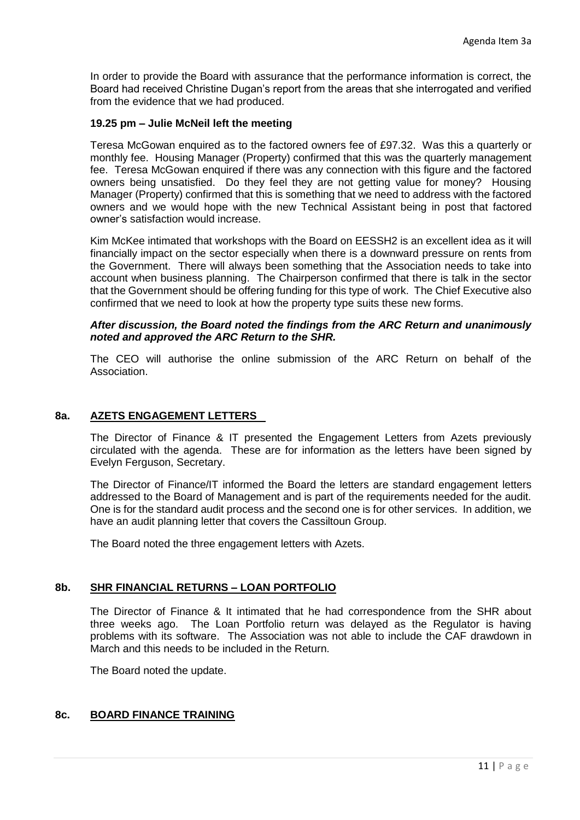In order to provide the Board with assurance that the performance information is correct, the Board had received Christine Dugan's report from the areas that she interrogated and verified from the evidence that we had produced.

## **19.25 pm – Julie McNeil left the meeting**

Teresa McGowan enquired as to the factored owners fee of £97.32. Was this a quarterly or monthly fee. Housing Manager (Property) confirmed that this was the quarterly management fee. Teresa McGowan enquired if there was any connection with this figure and the factored owners being unsatisfied. Do they feel they are not getting value for money? Housing Manager (Property) confirmed that this is something that we need to address with the factored owners and we would hope with the new Technical Assistant being in post that factored owner's satisfaction would increase.

Kim McKee intimated that workshops with the Board on EESSH2 is an excellent idea as it will financially impact on the sector especially when there is a downward pressure on rents from the Government. There will always been something that the Association needs to take into account when business planning. The Chairperson confirmed that there is talk in the sector that the Government should be offering funding for this type of work. The Chief Executive also confirmed that we need to look at how the property type suits these new forms.

#### *After discussion, the Board noted the findings from the ARC Return and unanimously noted and approved the ARC Return to the SHR.*

The CEO will authorise the online submission of the ARC Return on behalf of the Association.

### **8a. AZETS ENGAGEMENT LETTERS**

The Director of Finance & IT presented the Engagement Letters from Azets previously circulated with the agenda. These are for information as the letters have been signed by Evelyn Ferguson, Secretary.

The Director of Finance/IT informed the Board the letters are standard engagement letters addressed to the Board of Management and is part of the requirements needed for the audit. One is for the standard audit process and the second one is for other services. In addition, we have an audit planning letter that covers the Cassiltoun Group.

The Board noted the three engagement letters with Azets.

#### **8b. SHR FINANCIAL RETURNS – LOAN PORTFOLIO**

The Director of Finance & It intimated that he had correspondence from the SHR about three weeks ago. The Loan Portfolio return was delayed as the Regulator is having problems with its software. The Association was not able to include the CAF drawdown in March and this needs to be included in the Return.

The Board noted the update.

# **8c. BOARD FINANCE TRAINING**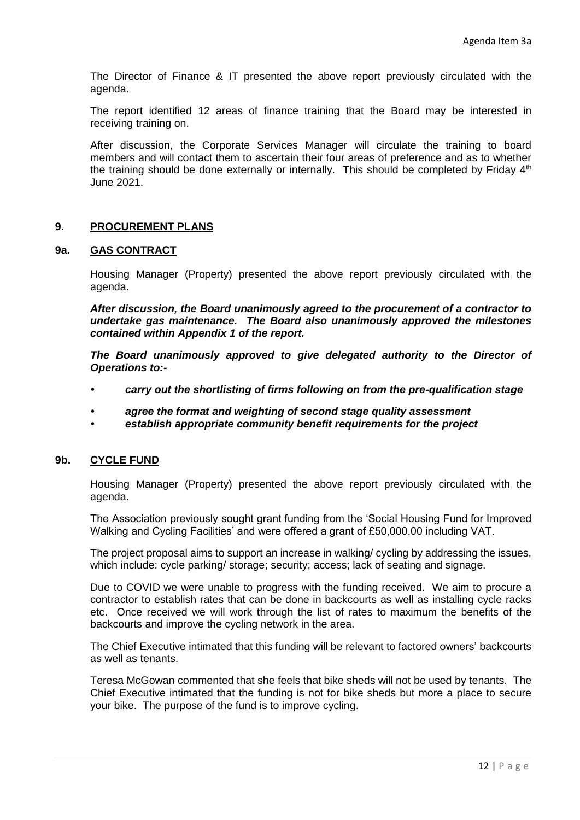The Director of Finance & IT presented the above report previously circulated with the agenda.

The report identified 12 areas of finance training that the Board may be interested in receiving training on.

After discussion, the Corporate Services Manager will circulate the training to board members and will contact them to ascertain their four areas of preference and as to whether the training should be done externally or internally. This should be completed by Friday  $4<sup>th</sup>$ June 2021.

# **9. PROCUREMENT PLANS**

### **9a. GAS CONTRACT**

Housing Manager (Property) presented the above report previously circulated with the agenda.

*After discussion, the Board unanimously agreed to the procurement of a contractor to undertake gas maintenance. The Board also unanimously approved the milestones contained within Appendix 1 of the report.*

The Board unanimously approved to give delegated authority to the Director of *Operations to:-*

- *• carry out the shortlisting of firms following on from the pre-qualification stage*
- *• agree the format and weighting of second stage quality assessment*
- *• establish appropriate community benefit requirements for the project*

## **9b. CYCLE FUND**

Housing Manager (Property) presented the above report previously circulated with the agenda.

The Association previously sought grant funding from the 'Social Housing Fund for Improved Walking and Cycling Facilities' and were offered a grant of £50,000.00 including VAT.

The project proposal aims to support an increase in walking/ cycling by addressing the issues, which include: cycle parking/ storage; security; access; lack of seating and signage.

Due to COVID we were unable to progress with the funding received. We aim to procure a contractor to establish rates that can be done in backcourts as well as installing cycle racks etc. Once received we will work through the list of rates to maximum the benefits of the backcourts and improve the cycling network in the area.

The Chief Executive intimated that this funding will be relevant to factored owners' backcourts as well as tenants.

Teresa McGowan commented that she feels that bike sheds will not be used by tenants. The Chief Executive intimated that the funding is not for bike sheds but more a place to secure your bike. The purpose of the fund is to improve cycling.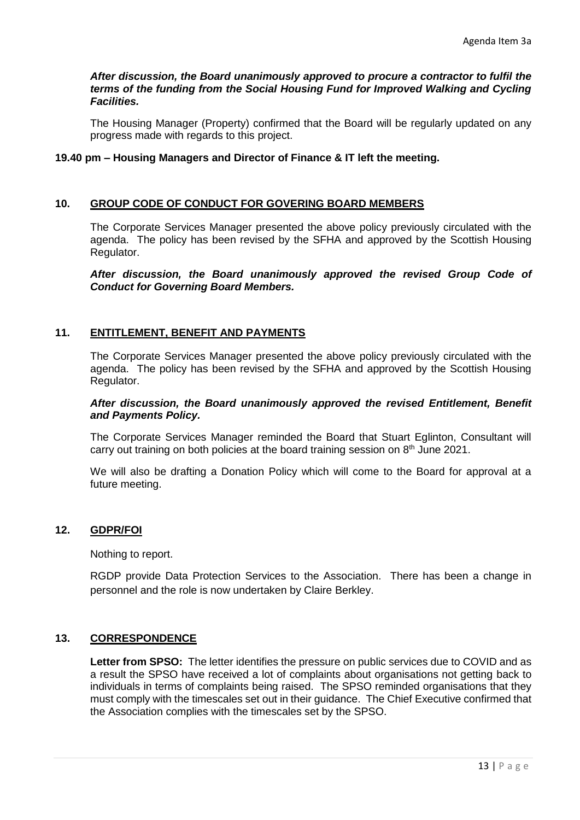### *After discussion, the Board unanimously approved to procure a contractor to fulfil the terms of the funding from the Social Housing Fund for Improved Walking and Cycling Facilities.*

The Housing Manager (Property) confirmed that the Board will be regularly updated on any progress made with regards to this project.

## **19.40 pm – Housing Managers and Director of Finance & IT left the meeting.**

### **10. GROUP CODE OF CONDUCT FOR GOVERING BOARD MEMBERS**

The Corporate Services Manager presented the above policy previously circulated with the agenda. The policy has been revised by the SFHA and approved by the Scottish Housing Regulator.

*After discussion, the Board unanimously approved the revised Group Code of Conduct for Governing Board Members.*

## **11. ENTITLEMENT, BENEFIT AND PAYMENTS**

The Corporate Services Manager presented the above policy previously circulated with the agenda. The policy has been revised by the SFHA and approved by the Scottish Housing Regulator.

### *After discussion, the Board unanimously approved the revised Entitlement, Benefit and Payments Policy.*

The Corporate Services Manager reminded the Board that Stuart Eglinton, Consultant will carry out training on both policies at the board training session on  $8<sup>th</sup>$  June 2021.

We will also be drafting a Donation Policy which will come to the Board for approval at a future meeting.

# **12. GDPR/FOI**

Nothing to report.

RGDP provide Data Protection Services to the Association. There has been a change in personnel and the role is now undertaken by Claire Berkley.

## **13. CORRESPONDENCE**

**Letter from SPSO:** The letter identifies the pressure on public services due to COVID and as a result the SPSO have received a lot of complaints about organisations not getting back to individuals in terms of complaints being raised. The SPSO reminded organisations that they must comply with the timescales set out in their guidance. The Chief Executive confirmed that the Association complies with the timescales set by the SPSO.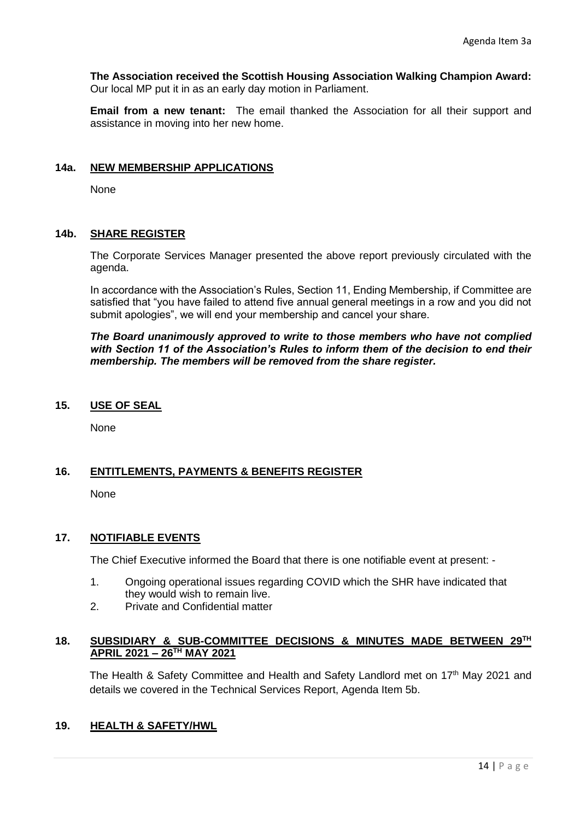**The Association received the Scottish Housing Association Walking Champion Award:**  Our local MP put it in as an early day motion in Parliament.

**Email from a new tenant:** The email thanked the Association for all their support and assistance in moving into her new home.

## **14a. NEW MEMBERSHIP APPLICATIONS**

None

## **14b. SHARE REGISTER**

The Corporate Services Manager presented the above report previously circulated with the agenda.

In accordance with the Association's Rules, Section 11, Ending Membership, if Committee are satisfied that "you have failed to attend five annual general meetings in a row and you did not submit apologies", we will end your membership and cancel your share.

*The Board unanimously approved to write to those members who have not complied with Section 11 of the Association's Rules to inform them of the decision to end their membership. The members will be removed from the share register.*

### **15. USE OF SEAL**

None

## **16. ENTITLEMENTS, PAYMENTS & BENEFITS REGISTER**

None

## **17. NOTIFIABLE EVENTS**

The Chief Executive informed the Board that there is one notifiable event at present: -

- 1. Ongoing operational issues regarding COVID which the SHR have indicated that they would wish to remain live.
- 2. Private and Confidential matter

## **18. SUBSIDIARY & SUB-COMMITTEE DECISIONS & MINUTES MADE BETWEEN 29 TH APRIL 2021 – 26TH MAY 2021**

The Health & Safety Committee and Health and Safety Landlord met on 17<sup>th</sup> May 2021 and details we covered in the Technical Services Report, Agenda Item 5b.

## **19. HEALTH & SAFETY/HWL**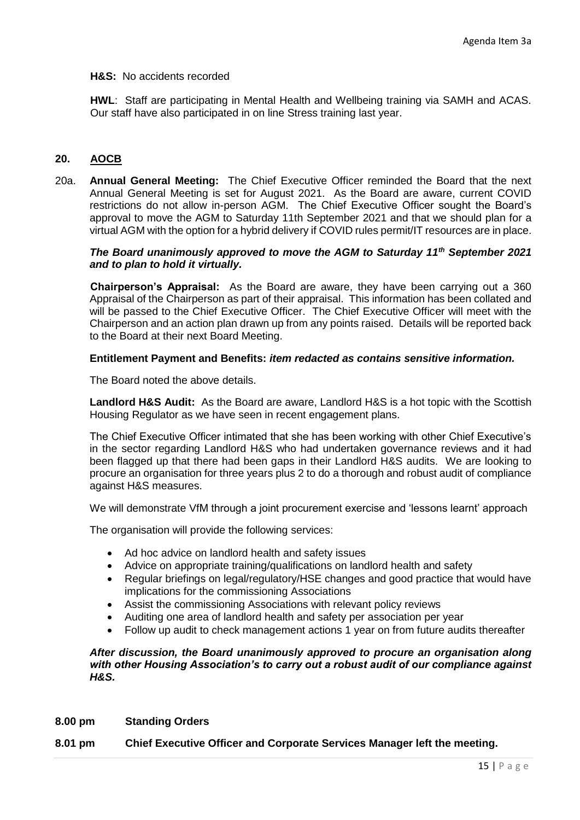### **H&S:** No accidents recorded

**HWL**: Staff are participating in Mental Health and Wellbeing training via SAMH and ACAS. Our staff have also participated in on line Stress training last year.

## **20. AOCB**

20a. **Annual General Meeting:** The Chief Executive Officer reminded the Board that the next Annual General Meeting is set for August 2021. As the Board are aware, current COVID restrictions do not allow in-person AGM. The Chief Executive Officer sought the Board's approval to move the AGM to Saturday 11th September 2021 and that we should plan for a virtual AGM with the option for a hybrid delivery if COVID rules permit/IT resources are in place.

### *The Board unanimously approved to move the AGM to Saturday 11th September 2021 and to plan to hold it virtually.*

**Chairperson's Appraisal:** As the Board are aware, they have been carrying out a 360 Appraisal of the Chairperson as part of their appraisal. This information has been collated and will be passed to the Chief Executive Officer. The Chief Executive Officer will meet with the Chairperson and an action plan drawn up from any points raised. Details will be reported back to the Board at their next Board Meeting.

### **Entitlement Payment and Benefits:** *item redacted as contains sensitive information.*

The Board noted the above details.

**Landlord H&S Audit:** As the Board are aware, Landlord H&S is a hot topic with the Scottish Housing Regulator as we have seen in recent engagement plans.

The Chief Executive Officer intimated that she has been working with other Chief Executive's in the sector regarding Landlord H&S who had undertaken governance reviews and it had been flagged up that there had been gaps in their Landlord H&S audits. We are looking to procure an organisation for three years plus 2 to do a thorough and robust audit of compliance against H&S measures.

We will demonstrate VfM through a joint procurement exercise and 'lessons learnt' approach

The organisation will provide the following services:

- Ad hoc advice on landlord health and safety issues
- Advice on appropriate training/qualifications on landlord health and safety
- Regular briefings on legal/regulatory/HSE changes and good practice that would have implications for the commissioning Associations
- Assist the commissioning Associations with relevant policy reviews
- Auditing one area of landlord health and safety per association per year
- Follow up audit to check management actions 1 year on from future audits thereafter

#### *After discussion, the Board unanimously approved to procure an organisation along with other Housing Association's to carry out a robust audit of our compliance against H&S.*

#### **8.00 pm Standing Orders**

#### **8.01 pm Chief Executive Officer and Corporate Services Manager left the meeting.**